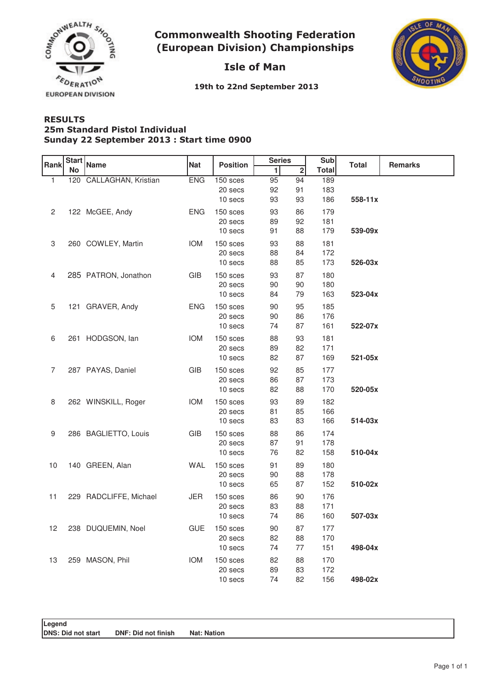

**Commonwealth Shooting Federation** (European Division) Championships

## Isle of Man



19th to 22nd September 2013

## **RESULTS** Sunday 22 September 2013 : Start time 0900 25m Standard Pistol Individual

| Rank        | <b>Start</b><br><b>No</b> | <b>Name</b>             | <b>Nat</b> | <b>Position</b>    | <b>Series</b> |                | Sub          | <b>Total</b> | <b>Remarks</b> |
|-------------|---------------------------|-------------------------|------------|--------------------|---------------|----------------|--------------|--------------|----------------|
|             |                           |                         |            |                    | $\mathbf{1}$  | $\overline{2}$ | <b>Total</b> |              |                |
| 1           |                           | 120 CALLAGHAN, Kristian | <b>ENG</b> | 150 sces           | 95            | 94             | 189          |              |                |
|             |                           |                         |            | 20 secs            | 92            | 91             | 183          |              |                |
|             |                           |                         |            | 10 secs            | 93            | 93             | 186          | 558-11x      |                |
| 2           |                           | 122 McGEE, Andy         | <b>ENG</b> | 150 sces           | 93            | 86             | 179          |              |                |
|             |                           |                         |            | 20 secs            | 89            | 92             | 181          |              |                |
|             |                           |                         |            | 10 secs            | 91            | 88             | 179          | 539-09x      |                |
| 3           |                           | 260 COWLEY, Martin      | <b>IOM</b> | 150 sces           | 93            | 88             | 181          |              |                |
|             |                           |                         |            | 20 secs            | 88            | 84             | 172          |              |                |
|             |                           |                         |            | 10 secs            | 88            | 85             | 173          | 526-03x      |                |
| 4           |                           | 285 PATRON, Jonathon    | GIB        | 150 sces           | 93            | 87             | 180          |              |                |
|             |                           |                         |            | 20 secs            | 90            | 90             | 180          |              |                |
|             |                           |                         |            | 10 secs            | 84            | 79             | 163          | 523-04x      |                |
| $\mathbf 5$ |                           | 121 GRAVER, Andy        | <b>ENG</b> | 150 sces           | 90            | 95             | 185          |              |                |
|             |                           |                         |            | 20 secs            | 90            | 86             | 176          |              |                |
|             |                           |                         |            | 10 secs            | 74            | 87             | 161          | 522-07x      |                |
|             |                           |                         |            |                    |               |                |              |              |                |
| 6           |                           | 261 HODGSON, lan        | <b>IOM</b> | 150 sces           | 88            | 93<br>82       | 181<br>171   |              |                |
|             |                           |                         |            | 20 secs<br>10 secs | 89<br>82      | 87             | 169          | 521-05x      |                |
|             |                           |                         |            |                    |               |                |              |              |                |
| 7           |                           | 287 PAYAS, Daniel       | <b>GIB</b> | 150 sces           | 92            | 85             | 177          |              |                |
|             |                           |                         |            | 20 secs            | 86            | 87             | 173          |              |                |
|             |                           |                         |            | 10 secs            | 82            | 88             | 170          | 520-05x      |                |
| 8           |                           | 262 WINSKILL, Roger     | <b>IOM</b> | 150 sces           | 93            | 89             | 182          |              |                |
|             |                           |                         |            | 20 secs            | 81            | 85             | 166          |              |                |
|             |                           |                         |            | 10 secs            | 83            | 83             | 166          | 514-03x      |                |
| 9           |                           | 286 BAGLIETTO, Louis    | GIB        | 150 sces           | 88            | 86             | 174          |              |                |
|             |                           |                         |            | 20 secs            | 87            | 91             | 178          |              |                |
|             |                           |                         |            | 10 secs            | 76            | 82             | 158          | 510-04x      |                |
| 10          |                           | 140 GREEN, Alan         | WAL        | 150 sces           | 91            | 89             | 180          |              |                |
|             |                           |                         |            | 20 secs            | 90            | 88             | 178          |              |                |
|             |                           |                         |            | 10 secs            | 65            | 87             | 152          | 510-02x      |                |
| 11          |                           | 229 RADCLIFFE, Michael  | JER        | 150 sces           | 86            | 90             | 176          |              |                |
|             |                           |                         |            | 20 secs            | 83            | 88             | 171          |              |                |
|             |                           |                         |            | 10 secs            | 74            | 86             | 160          | 507-03x      |                |
| 12          |                           | 238 DUQUEMIN, Noel      | <b>GUE</b> | 150 sces           | 90            | 87             | 177          |              |                |
|             |                           |                         |            | 20 secs            | 82            | 88             | 170          |              |                |
|             |                           |                         |            | 10 secs            | 74            | 77             | 151          | 498-04x      |                |
| 13          |                           | 259 MASON, Phil         | <b>IOM</b> | 150 sces           | 82            | 88             | 170          |              |                |
|             |                           |                         |            | 20 secs            | 89            | 83             | 172          |              |                |
|             |                           |                         |            | 10 secs            | 74            | 82             | 156          | 498-02x      |                |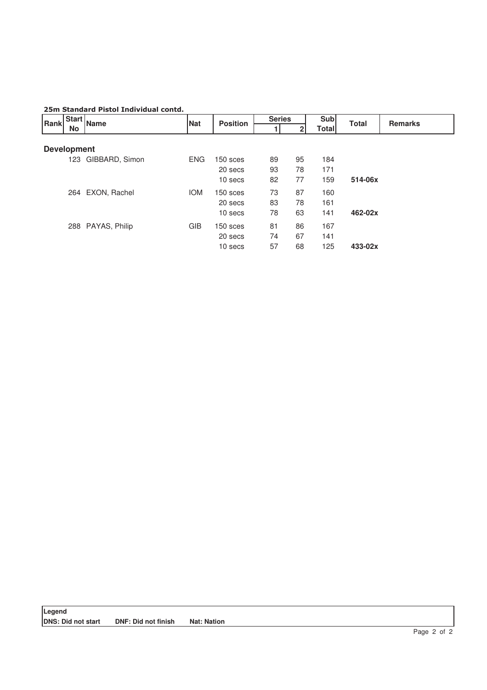#### 25m Standard Pistol Individual contd.

| Rank               |    | I Start Name       | Nat        | <b>Position</b> | <b>Series</b> |    | <b>Sub</b>   |              | <b>Remarks</b> |
|--------------------|----|--------------------|------------|-----------------|---------------|----|--------------|--------------|----------------|
|                    | No |                    |            |                 |               |    | <b>Total</b> | <b>Total</b> |                |
|                    |    |                    |            |                 |               |    |              |              |                |
| <b>Development</b> |    |                    |            |                 |               |    |              |              |                |
|                    |    | 123 GIBBARD, Simon | <b>ENG</b> | 150 sces        | 89            | 95 | 184          |              |                |
|                    |    |                    |            | 20 secs         | 93            | 78 | 171          |              |                |
|                    |    |                    |            | 10 secs         | 82            | 77 | 159          | 514-06x      |                |
|                    |    | 264 EXON, Rachel   | <b>IOM</b> | 150 sces        | 73            | 87 | 160          |              |                |
|                    |    |                    |            | 20 secs         | 83            | 78 | 161          |              |                |
|                    |    |                    |            | 10 secs         | 78            | 63 | 141          | 462-02x      |                |
|                    |    | 288 PAYAS, Philip  | GIB        | 150 sces        | 81            | 86 | 167          |              |                |
|                    |    |                    |            | 20 secs         | 74            | 67 | 141          |              |                |
|                    |    |                    |            | 10 secs         | 57            | 68 | 125          | 433-02x      |                |